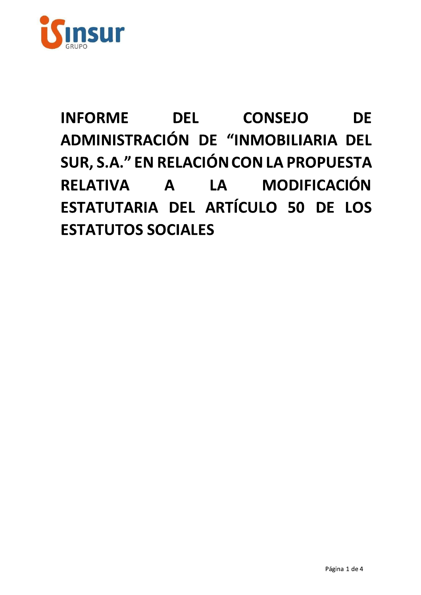

# **INFORME DEL CONSEJO DE** ADMINISTRACIÓN DE "INMOBILIARIA DEL SUR, S.A." EN RELACIÓN CON LA PROPUESTA RELATIVA A LA MODIFICACIÓN ESTATUTARIA DEL ARTÍCULO 50 DE LOS **ESTATUTOS SOCIALES**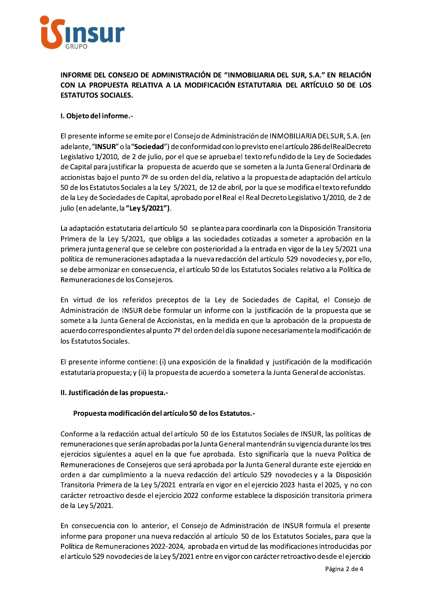

## INFORME DEL CONSEJO DE ADMINISTRACIÓN DE "INMOBILIARIA DEL SUR, S.A." EN RELACIÓN CON LA PROPUESTA RELATIVA A LA MODIFICACIÓN ESTATUTARIA DEL ARTÍCULO 50 DE LOS **ESTATUTOS SOCIALES.**

## I. Objeto del informe.-

El presente informe se emite por el Consejo de Administración de INMOBILIARIA DEL SUR, S.A. (en adelante, "INSUR" o la "Sociedad") de conformidad con lo previsto en el artículo 286 del RealDecreto Legislativo 1/2010, de 2 de julio, por el que se aprueba el texto refundido de la Ley de Sociedades de Capital para justificar la propuesta de acuerdo que se someten a la Junta General Ordinaria de accionistas bajo el punto 7º de su orden del día, relativo a la propuesta de adaptación del artículo 50 de los Estatutos Sociales a la Ley 5/2021, de 12 de abril, por la que se modifica el texto refundido de la Ley de Sociedades de Capital, aprobado por el Real el Real Decreto Legislativo 1/2010, de 2 de julio (en adelante, la "Ley 5/2021").

La adaptación estatutaria del artículo 50 se plantea para coordinarla con la Disposición Transitoria Primera de la Ley 5/2021, que obliga a las sociedades cotizadas a someter a aprobación en la primera junta general que se celebre con posterioridad a la entrada en vigor de la Ley 5/2021 una política de remuneraciones adaptada a la nueva redacción del artículo 529 novodecies y, por ello, se debe armonizar en consecuencia, el artículo 50 de los Estatutos Sociales relativo a la Política de Remuneraciones de los Consejeros.

En virtud de los referidos preceptos de la Ley de Sociedades de Capital, el Consejo de Administración de INSUR debe formular un informe con la justificación de la propuesta que se somete a la Junta General de Accionistas, en la medida en que la aprobación de la propuesta de acuerdo correspondientes al punto 7º del orden del día supone necesariamente la modificación de los Estatutos Sociales.

El presente informe contiene: (i) una exposición de la finalidad y justificación de la modificación estatutaria propuesta; y (ii) la propuesta de acuerdo a someter a la Junta General de accionistas.

### II. Justificación de las propuesta.-

### Propuesta modificación del artículo 50 de los Estatutos.-

Conforme a la redacción actual del artículo 50 de los Estatutos Sociales de INSUR, las políticas de remuneraciones que serán aprobadas por la Junta General mantendrán su vigencia durante los tres ejercicios siguientes a aquel en la que fue aprobada. Esto significaría que la nueva Política de Remuneraciones de Consejeros que será aprobada por la Junta General durante este ejercicio en orden a dar cumplimiento a la nueva redacción del artículo 529 novodecies y a la Disposición Transitoria Primera de la Ley 5/2021 entraría en vigor en el ejercicio 2023 hasta el 2025, y no con carácter retroactivo desde el ejercicio 2022 conforme establece la disposición transitoria primera de la Ley 5/2021.

En consecuencia con lo anterior, el Consejo de Administración de INSUR formula el presente informe para proponer una nueva redacción al artículo 50 de los Estatutos Sociales, para que la Política de Remuneraciones 2022-2024, aprobada en virtud de las modificaciones introducidas por el artículo 529 novodecies de la Ley 5/2021 entre en vigor con carácter retroactivo desde el ejercicio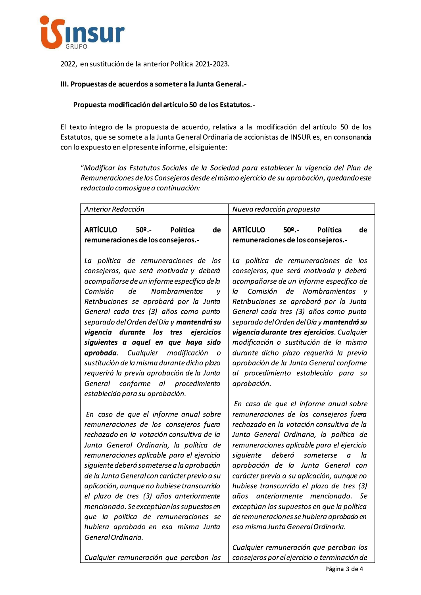

2022, en sustitución de la anterior Política 2021-2023.

### III. Propuestas de acuerdos a someter a la Junta General.-

#### Propuesta modificación del artículo 50 de los Estatutos.-

El texto íntegro de la propuesta de acuerdo, relativa a la modificación del artículo 50 de los Estatutos, que se somete a la Junta General Ordinaria de accionistas de INSUR es, en consonancia con lo expuesto en el presente informe, el siguiente:

"Modificar los Estatutos Sociales de la Sociedad para establecer la vigencia del Plan de Remuneraciones de los Consejeros desde el mismo ejercicio de su aprobación, quedando este redactado comosigue a continuación:

| Anterior Redacción                                                                                                                                                                                                                                                                                                                                                                                                                                                                                                                                                                                                      | Nueva redacción propuesta                                                                                                                                                                                                                                                                                                                                                                                                                                                                                                                                                                                                   |
|-------------------------------------------------------------------------------------------------------------------------------------------------------------------------------------------------------------------------------------------------------------------------------------------------------------------------------------------------------------------------------------------------------------------------------------------------------------------------------------------------------------------------------------------------------------------------------------------------------------------------|-----------------------------------------------------------------------------------------------------------------------------------------------------------------------------------------------------------------------------------------------------------------------------------------------------------------------------------------------------------------------------------------------------------------------------------------------------------------------------------------------------------------------------------------------------------------------------------------------------------------------------|
| <b>ARTÍCULO</b><br>$502$ .<br>Política<br>de<br>remuneraciones de los consejeros.-                                                                                                                                                                                                                                                                                                                                                                                                                                                                                                                                      | <b>ARTÍCULO</b><br>$50°$ .<br>Política<br>de<br>remuneraciones de los consejeros.-                                                                                                                                                                                                                                                                                                                                                                                                                                                                                                                                          |
| La política de remuneraciones de los<br>consejeros, que será motivada y deberá<br>acompañarse de un informe específico de la<br>Comisión<br>de<br>Nombramientos<br>v<br>Retribuciones se aprobará por la Junta<br>General cada tres (3) años como punto<br>separado del Orden del Día y mantendrá su<br>vigencia durante los tres<br>ejercicios<br>siguientes a aquel en que haya sido<br>aprobada. Cualquier modificación<br>$\overline{O}$<br>sustitución de la misma durante dicho plazo<br>requerirá la previa aprobación de la Junta<br>conforme al<br>procedimiento<br>General<br>establecido para su aprobación. | La política de remuneraciones de los<br>consejeros, que será motivada y deberá<br>acompañarse de un informe específico de<br>Comisión<br>de<br>Nombramientos<br>la<br>V<br>Retribuciones se aprobará por la Junta<br>General cada tres (3) años como punto<br>separado del Orden del Día y <b>mantendrá su</b><br>vigencia durante tres ejercicios. Cualquier<br>modificación o sustitución de la misma<br>durante dicho plazo requerirá la previa<br>aprobación de la Junta General conforme<br>al procedimiento establecido para su<br>aprobación.                                                                        |
| En caso de que el informe anual sobre<br>remuneraciones de los consejeros fuera<br>rechazado en la votación consultiva de la<br>Junta General Ordinaria, la política de<br>remuneraciones aplicable para el ejercicio<br>siguiente deberá someterse a la aprobación<br>de la Junta General con carácter previo a su<br>aplicación, aunque no hubiese transcurrido<br>el plazo de tres (3) años anteriormente<br>mencionado. Se exceptúan los supuestos en<br>que la política de remuneraciones se<br>hubiera aprobado en esa misma Junta<br>General Ordinaria.                                                          | En caso de que el informe anual sobre<br>remuneraciones de los consejeros fuera<br>rechazado en la votación consultiva de la<br>Junta General Ordinaria, la política de<br>remuneraciones aplicable para el ejercicio<br>siquiente<br>deberá<br>la<br>someterse<br>a<br>aprobación de la Junta General con<br>carácter previo a su aplicación, aunque no<br>hubiese transcurrido el plazo de tres (3)<br>anteriormente mencionado.<br>años<br>Se<br>exceptúan los supuestos en que la política<br>de remuneraciones se hubiera aprobado en<br>esa misma Junta General Ordinaria.<br>Cualquier remuneración que perciban los |
| Cualquier remuneración que perciban los                                                                                                                                                                                                                                                                                                                                                                                                                                                                                                                                                                                 | consejeros por el ejercicio o terminación de                                                                                                                                                                                                                                                                                                                                                                                                                                                                                                                                                                                |